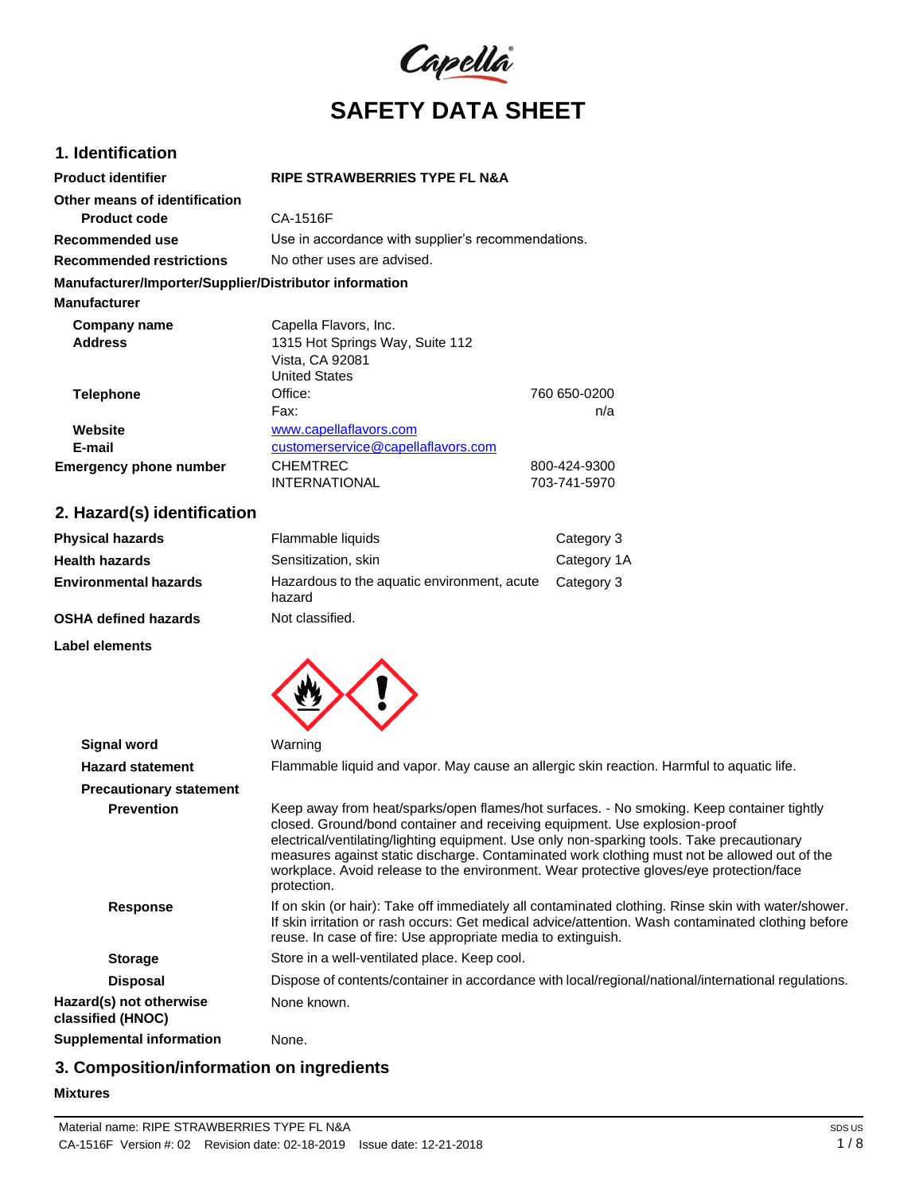

## **1. Identification**

| <b>Product identifier</b>                              | <b>RIPE STRAWBERRIES TYPE FL N&amp;A</b>           |              |
|--------------------------------------------------------|----------------------------------------------------|--------------|
| Other means of identification                          |                                                    |              |
| <b>Product code</b>                                    | CA-1516F                                           |              |
| Recommended use                                        | Use in accordance with supplier's recommendations. |              |
| <b>Recommended restrictions</b>                        | No other uses are advised.                         |              |
| Manufacturer/Importer/Supplier/Distributor information |                                                    |              |
| <b>Manufacturer</b>                                    |                                                    |              |
| Company name                                           | Capella Flavors, Inc.                              |              |
| <b>Address</b>                                         | 1315 Hot Springs Way, Suite 112                    |              |
|                                                        | Vista, CA 92081                                    |              |
|                                                        | <b>United States</b>                               |              |
| <b>Telephone</b>                                       | Office:                                            | 760 650-0200 |
|                                                        | Fax:                                               | n/a          |
| Website                                                | www.capellaflavors.com                             |              |
| E-mail                                                 | customerservice@capellaflavors.com                 |              |
| <b>Emergency phone number</b>                          | <b>CHEMTREC</b>                                    | 800-424-9300 |
|                                                        | <b>INTERNATIONAL</b>                               | 703-741-5970 |

# **2. Hazard(s) identification**

| <b>Physical hazards</b>      | Flammable liquids                                     | Category 3  |
|------------------------------|-------------------------------------------------------|-------------|
| <b>Health hazards</b>        | Sensitization, skin                                   | Category 1A |
| <b>Environmental hazards</b> | Hazardous to the aquatic environment, acute<br>hazard | Category 3  |
| <b>OSHA defined hazards</b>  | Not classified.                                       |             |

**Label elements**



| <b>Signal word</b>                           | Warning                                                                                                                                                                                                                                                                                                                                                                                                                                                                         |
|----------------------------------------------|---------------------------------------------------------------------------------------------------------------------------------------------------------------------------------------------------------------------------------------------------------------------------------------------------------------------------------------------------------------------------------------------------------------------------------------------------------------------------------|
| <b>Hazard statement</b>                      | Flammable liquid and vapor. May cause an allergic skin reaction. Harmful to aquatic life.                                                                                                                                                                                                                                                                                                                                                                                       |
| <b>Precautionary statement</b>               |                                                                                                                                                                                                                                                                                                                                                                                                                                                                                 |
| <b>Prevention</b>                            | Keep away from heat/sparks/open flames/hot surfaces. - No smoking. Keep container tightly<br>closed. Ground/bond container and receiving equipment. Use explosion-proof<br>electrical/ventilating/lighting equipment. Use only non-sparking tools. Take precautionary<br>measures against static discharge. Contaminated work clothing must not be allowed out of the<br>workplace. Avoid release to the environment. Wear protective gloves/eye protection/face<br>protection. |
| <b>Response</b>                              | If on skin (or hair): Take off immediately all contaminated clothing. Rinse skin with water/shower.<br>If skin irritation or rash occurs: Get medical advice/attention. Wash contaminated clothing before<br>reuse. In case of fire: Use appropriate media to extinguish.                                                                                                                                                                                                       |
| <b>Storage</b>                               | Store in a well-ventilated place. Keep cool.                                                                                                                                                                                                                                                                                                                                                                                                                                    |
| <b>Disposal</b>                              | Dispose of contents/container in accordance with local/regional/national/international regulations.                                                                                                                                                                                                                                                                                                                                                                             |
| Hazard(s) not otherwise<br>classified (HNOC) | None known.                                                                                                                                                                                                                                                                                                                                                                                                                                                                     |
| Supplemental information                     | None.                                                                                                                                                                                                                                                                                                                                                                                                                                                                           |

# **3. Composition/information on ingredients**

#### **Mixtures**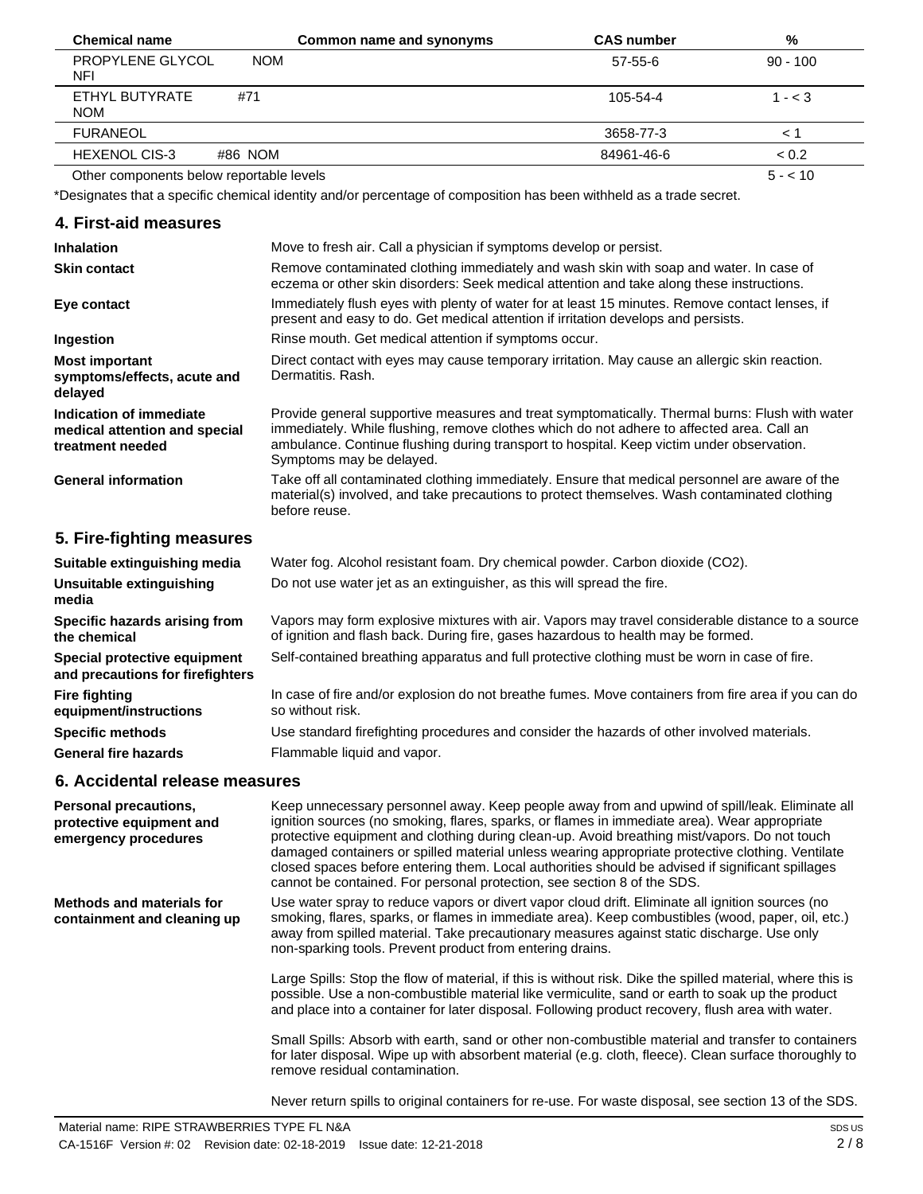| <b>Chemical name</b>                     | Common name and synonyms | <b>CAS number</b> | %          |
|------------------------------------------|--------------------------|-------------------|------------|
| PROPYLENE GLYCOL<br>NFI                  | <b>NOM</b>               | 57-55-6           | $90 - 100$ |
| ETHYL BUTYRATE<br><b>NOM</b>             | #71                      | 105-54-4          | $1 - < 3$  |
| <b>FURANEOL</b>                          |                          | 3658-77-3         |            |
| <b>HEXENOL CIS-3</b>                     | #86 NOM                  | 84961-46-6        | < 0.2      |
| Other components below reportable levels |                          |                   | $5 - 10$   |

\*Designates that a specific chemical identity and/or percentage of composition has been withheld as a trade secret.

| 4. First-aid measures                                                        |                                                                                                                                                                                                                                                                                                                      |
|------------------------------------------------------------------------------|----------------------------------------------------------------------------------------------------------------------------------------------------------------------------------------------------------------------------------------------------------------------------------------------------------------------|
| <b>Inhalation</b>                                                            | Move to fresh air. Call a physician if symptoms develop or persist.                                                                                                                                                                                                                                                  |
| <b>Skin contact</b>                                                          | Remove contaminated clothing immediately and wash skin with soap and water. In case of<br>eczema or other skin disorders: Seek medical attention and take along these instructions.                                                                                                                                  |
| Eye contact                                                                  | Immediately flush eyes with plenty of water for at least 15 minutes. Remove contact lenses, if<br>present and easy to do. Get medical attention if irritation develops and persists.                                                                                                                                 |
| Ingestion                                                                    | Rinse mouth. Get medical attention if symptoms occur.                                                                                                                                                                                                                                                                |
| <b>Most important</b><br>symptoms/effects, acute and<br>delayed              | Direct contact with eyes may cause temporary irritation. May cause an allergic skin reaction.<br>Dermatitis, Rash.                                                                                                                                                                                                   |
| Indication of immediate<br>medical attention and special<br>treatment needed | Provide general supportive measures and treat symptomatically. Thermal burns: Flush with water<br>immediately. While flushing, remove clothes which do not adhere to affected area. Call an<br>ambulance. Continue flushing during transport to hospital. Keep victim under observation.<br>Symptoms may be delayed. |
| <b>General information</b>                                                   | Take off all contaminated clothing immediately. Ensure that medical personnel are aware of the<br>material(s) involved, and take precautions to protect themselves. Wash contaminated clothing<br>before reuse.                                                                                                      |
| 5. Fire-fighting measures                                                    |                                                                                                                                                                                                                                                                                                                      |
| Suitable extinguishing media                                                 | Water fog. Alcohol resistant foam. Dry chemical powder. Carbon dioxide (CO2).                                                                                                                                                                                                                                        |

| Suitable extinguishing media                                     | Water fog. Alcohol resistant foam. Dry chemical powder. Carbon dioxide (CO2).                                                                                                         |
|------------------------------------------------------------------|---------------------------------------------------------------------------------------------------------------------------------------------------------------------------------------|
| Unsuitable extinguishing<br>media                                | Do not use water jet as an extinguisher, as this will spread the fire.                                                                                                                |
| Specific hazards arising from<br>the chemical                    | Vapors may form explosive mixtures with air. Vapors may travel considerable distance to a source<br>of ignition and flash back. During fire, gases hazardous to health may be formed. |
| Special protective equipment<br>and precautions for firefighters | Self-contained breathing apparatus and full protective clothing must be worn in case of fire.                                                                                         |
| <b>Fire fighting</b><br>equipment/instructions                   | In case of fire and/or explosion do not breathe fumes. Move containers from fire area if you can do<br>so without risk.                                                               |
| <b>Specific methods</b>                                          | Use standard firefighting procedures and consider the hazards of other involved materials.                                                                                            |
| <b>General fire hazards</b>                                      | Flammable liquid and vapor.                                                                                                                                                           |
|                                                                  |                                                                                                                                                                                       |

# **6. Accidental release measures**

| <b>Personal precautions,</b><br>protective equipment and<br>emergency procedures | Keep unnecessary personnel away. Keep people away from and upwind of spill/leak. Eliminate all<br>ignition sources (no smoking, flares, sparks, or flames in immediate area). Wear appropriate<br>protective equipment and clothing during clean-up. Avoid breathing mist/vapors. Do not touch<br>damaged containers or spilled material unless wearing appropriate protective clothing. Ventilate<br>closed spaces before entering them. Local authorities should be advised if significant spillages<br>cannot be contained. For personal protection, see section 8 of the SDS. |
|----------------------------------------------------------------------------------|-----------------------------------------------------------------------------------------------------------------------------------------------------------------------------------------------------------------------------------------------------------------------------------------------------------------------------------------------------------------------------------------------------------------------------------------------------------------------------------------------------------------------------------------------------------------------------------|
| <b>Methods and materials for</b><br>containment and cleaning up                  | Use water spray to reduce vapors or divert vapor cloud drift. Eliminate all ignition sources (no<br>smoking, flares, sparks, or flames in immediate area). Keep combustibles (wood, paper, oil, etc.)<br>away from spilled material. Take precautionary measures against static discharge. Use only<br>non-sparking tools. Prevent product from entering drains.                                                                                                                                                                                                                  |
|                                                                                  | Large Spills: Stop the flow of material, if this is without risk. Dike the spilled material, where this is<br>possible. Use a non-combustible material like vermiculite, sand or earth to soak up the product<br>and place into a container for later disposal. Following product recovery, flush area with water.                                                                                                                                                                                                                                                                |
|                                                                                  | Small Spills: Absorb with earth, sand or other non-combustible material and transfer to containers<br>for later disposal. Wipe up with absorbent material (e.g. cloth, fleece). Clean surface thoroughly to<br>remove residual contamination.                                                                                                                                                                                                                                                                                                                                     |

Never return spills to original containers for re-use. For waste disposal, see section 13 of the SDS.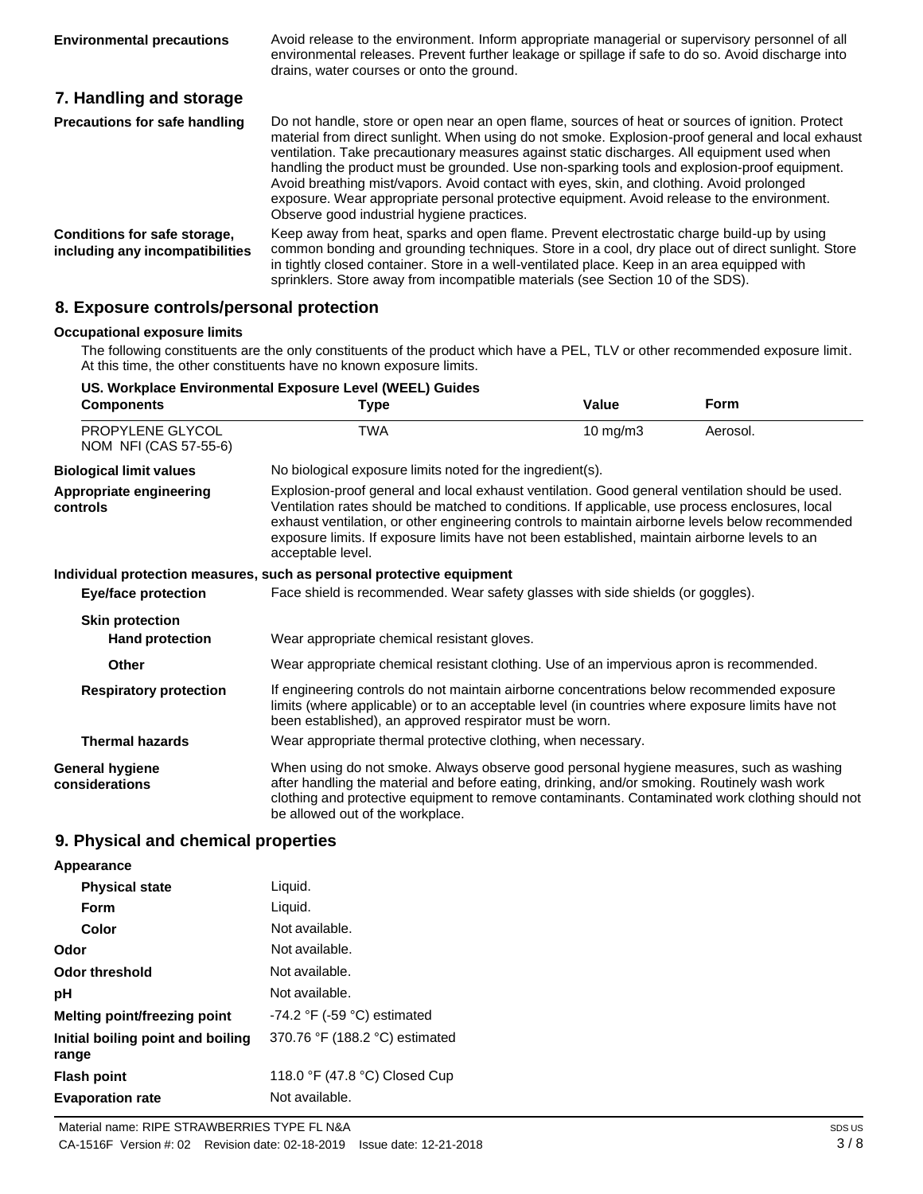|                                                                 | environmental releases. Prevent further leakage or spillage if safe to do so. Avoid discharge into<br>drains, water courses or onto the ground.                                                                                                                                                                                                                                                                                                                                                                                                                                                                                                |
|-----------------------------------------------------------------|------------------------------------------------------------------------------------------------------------------------------------------------------------------------------------------------------------------------------------------------------------------------------------------------------------------------------------------------------------------------------------------------------------------------------------------------------------------------------------------------------------------------------------------------------------------------------------------------------------------------------------------------|
| 7. Handling and storage                                         |                                                                                                                                                                                                                                                                                                                                                                                                                                                                                                                                                                                                                                                |
| Precautions for safe handling                                   | Do not handle, store or open near an open flame, sources of heat or sources of ignition. Protect<br>material from direct sunlight. When using do not smoke. Explosion-proof general and local exhaust<br>ventilation. Take precautionary measures against static discharges. All equipment used when<br>handling the product must be grounded. Use non-sparking tools and explosion-proof equipment.<br>Avoid breathing mist/vapors. Avoid contact with eyes, skin, and clothing. Avoid prolonged<br>exposure. Wear appropriate personal protective equipment. Avoid release to the environment.<br>Observe good industrial hygiene practices. |
| Conditions for safe storage,<br>including any incompatibilities | Keep away from heat, sparks and open flame. Prevent electrostatic charge build-up by using<br>common bonding and grounding techniques. Store in a cool, dry place out of direct sunlight. Store<br>in tightly closed container. Store in a well-ventilated place. Keep in an area equipped with<br>sprinklers. Store away from incompatible materials (see Section 10 of the SDS).                                                                                                                                                                                                                                                             |

Avoid release to the environment. Inform appropriate managerial or supervisory personnel of all

## **8. Exposure controls/personal protection**

#### **Occupational exposure limits**

**Environmental precautions**

The following constituents are the only constituents of the product which have a PEL, TLV or other recommended exposure limit. At this time, the other constituents have no known exposure limits.

| <b>Components</b>                         | <b>Type</b>                                                                                                                                                                                                                                                                                                                                                                                                                  | Value    | <b>Form</b> |
|-------------------------------------------|------------------------------------------------------------------------------------------------------------------------------------------------------------------------------------------------------------------------------------------------------------------------------------------------------------------------------------------------------------------------------------------------------------------------------|----------|-------------|
| PROPYLENE GLYCOL<br>NOM NFI (CAS 57-55-6) | <b>TWA</b>                                                                                                                                                                                                                                                                                                                                                                                                                   | 10 mg/m3 | Aerosol.    |
| <b>Biological limit values</b>            | No biological exposure limits noted for the ingredient(s).                                                                                                                                                                                                                                                                                                                                                                   |          |             |
| Appropriate engineering<br>controls       | Explosion-proof general and local exhaust ventilation. Good general ventilation should be used.<br>Ventilation rates should be matched to conditions. If applicable, use process enclosures, local<br>exhaust ventilation, or other engineering controls to maintain airborne levels below recommended<br>exposure limits. If exposure limits have not been established, maintain airborne levels to an<br>acceptable level. |          |             |
|                                           | Individual protection measures, such as personal protective equipment                                                                                                                                                                                                                                                                                                                                                        |          |             |
| <b>Eye/face protection</b>                | Face shield is recommended. Wear safety glasses with side shields (or goggles).                                                                                                                                                                                                                                                                                                                                              |          |             |
| <b>Skin protection</b>                    |                                                                                                                                                                                                                                                                                                                                                                                                                              |          |             |
| <b>Hand protection</b>                    | Wear appropriate chemical resistant gloves.                                                                                                                                                                                                                                                                                                                                                                                  |          |             |
| Other                                     | Wear appropriate chemical resistant clothing. Use of an impervious apron is recommended.                                                                                                                                                                                                                                                                                                                                     |          |             |
| <b>Respiratory protection</b>             | If engineering controls do not maintain airborne concentrations below recommended exposure<br>limits (where applicable) or to an acceptable level (in countries where exposure limits have not<br>been established), an approved respirator must be worn.                                                                                                                                                                    |          |             |
| <b>Thermal hazards</b>                    | Wear appropriate thermal protective clothing, when necessary.                                                                                                                                                                                                                                                                                                                                                                |          |             |
| <b>General hygiene</b><br>considerations  | When using do not smoke. Always observe good personal hygiene measures, such as washing<br>after handling the material and before eating, drinking, and/or smoking. Routinely wash work<br>clothing and protective equipment to remove contaminants. Contaminated work clothing should not<br>be allowed out of the workplace.                                                                                               |          |             |
| 9. Physical and chemical properties       |                                                                                                                                                                                                                                                                                                                                                                                                                              |          |             |
| Appearance                                |                                                                                                                                                                                                                                                                                                                                                                                                                              |          |             |
| <b>Physical state</b>                     | Liquid.                                                                                                                                                                                                                                                                                                                                                                                                                      |          |             |

| <b>Physical state</b>                      | Liquid.                                       |
|--------------------------------------------|-----------------------------------------------|
| Form                                       | Liquid.                                       |
| Color                                      | Not available.                                |
| Odor                                       | Not available.                                |
| Odor threshold                             | Not available.                                |
| рH                                         | Not available.                                |
| <b>Melting point/freezing point</b>        | -74.2 $\degree$ F (-59 $\degree$ C) estimated |
| Initial boiling point and boiling<br>range | 370.76 °F (188.2 °C) estimated                |
| <b>Flash point</b>                         | 118.0 °F (47.8 °C) Closed Cup                 |
| <b>Evaporation rate</b>                    | Not available.                                |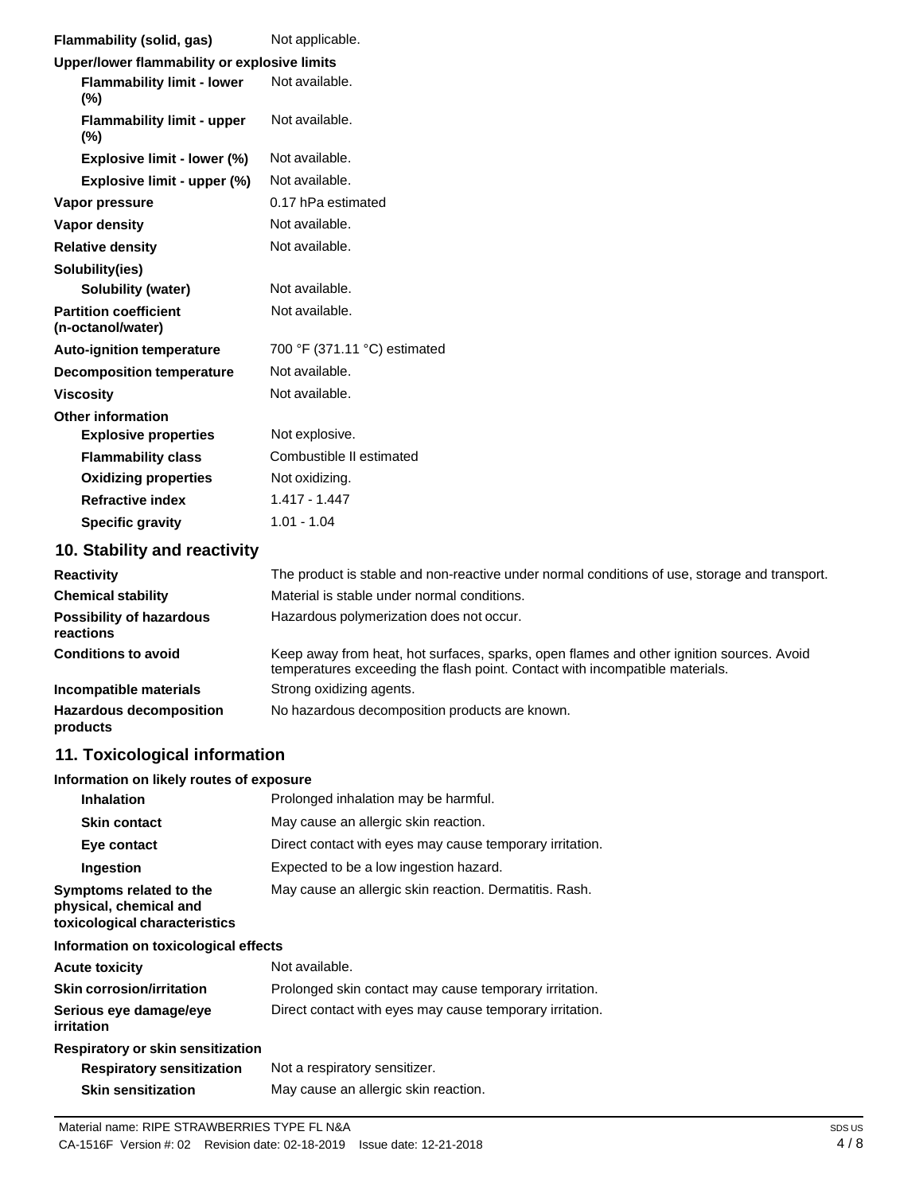| <b>Flammability (solid, gas)</b>                  | Not applicable.                                                                               |
|---------------------------------------------------|-----------------------------------------------------------------------------------------------|
| Upper/lower flammability or explosive limits      |                                                                                               |
| <b>Flammability limit - lower</b><br>$(\%)$       | Not available.                                                                                |
| <b>Flammability limit - upper</b><br>(%)          | Not available.                                                                                |
| Explosive limit - lower (%)                       | Not available.                                                                                |
| Explosive limit - upper (%)                       | Not available.                                                                                |
| Vapor pressure                                    | 0.17 hPa estimated                                                                            |
| Vapor density                                     | Not available.                                                                                |
| <b>Relative density</b>                           | Not available.                                                                                |
| Solubility(ies)                                   |                                                                                               |
| Solubility (water)                                | Not available.                                                                                |
| <b>Partition coefficient</b><br>(n-octanol/water) | Not available.                                                                                |
| <b>Auto-ignition temperature</b>                  | 700 °F (371.11 °C) estimated                                                                  |
| <b>Decomposition temperature</b>                  | Not available.                                                                                |
| <b>Viscosity</b>                                  | Not available.                                                                                |
| <b>Other information</b>                          |                                                                                               |
| <b>Explosive properties</b>                       | Not explosive.                                                                                |
| <b>Flammability class</b>                         | Combustible II estimated                                                                      |
| <b>Oxidizing properties</b>                       | Not oxidizing.                                                                                |
| <b>Refractive index</b>                           | $1.417 - 1.447$                                                                               |
| <b>Specific gravity</b>                           | $1.01 - 1.04$                                                                                 |
| 10. Stability and reactivity                      |                                                                                               |
| <b>Reactivity</b>                                 | The product is stable and non-reactive under normal conditions of use, storage and transport. |

| <b>Chemical stability</b>                    | Material is stable under normal conditions.                                                                                                                              |
|----------------------------------------------|--------------------------------------------------------------------------------------------------------------------------------------------------------------------------|
| <b>Possibility of hazardous</b><br>reactions | Hazardous polymerization does not occur.                                                                                                                                 |
| <b>Conditions to avoid</b>                   | Keep away from heat, hot surfaces, sparks, open flames and other ignition sources. Avoid<br>temperatures exceeding the flash point. Contact with incompatible materials. |
| Incompatible materials                       | Strong oxidizing agents.                                                                                                                                                 |
| <b>Hazardous decomposition</b><br>products   | No hazardous decomposition products are known.                                                                                                                           |

# **11. Toxicological information**

## **Information on likely routes of exposure**

| <b>Inhalation</b>                                                                  | Prolonged inhalation may be harmful.                     |
|------------------------------------------------------------------------------------|----------------------------------------------------------|
| <b>Skin contact</b>                                                                | May cause an allergic skin reaction.                     |
| Eye contact                                                                        | Direct contact with eyes may cause temporary irritation. |
| Ingestion                                                                          | Expected to be a low ingestion hazard.                   |
| Symptoms related to the<br>physical, chemical and<br>toxicological characteristics | May cause an allergic skin reaction. Dermatitis. Rash.   |

#### **Information on toxicological effects**

| <b>Acute toxicity</b>                                                                      | Not available.                                           |
|--------------------------------------------------------------------------------------------|----------------------------------------------------------|
| Prolonged skin contact may cause temporary irritation.<br><b>Skin corrosion/irritation</b> |                                                          |
| Serious eye damage/eye<br>irritation                                                       | Direct contact with eyes may cause temporary irritation. |
| Respiratory or skin sensitization                                                          |                                                          |
| <b>Respiratory sensitization</b>                                                           | Not a respiratory sensitizer.                            |
| <b>Skin sensitization</b>                                                                  | May cause an allergic skin reaction.                     |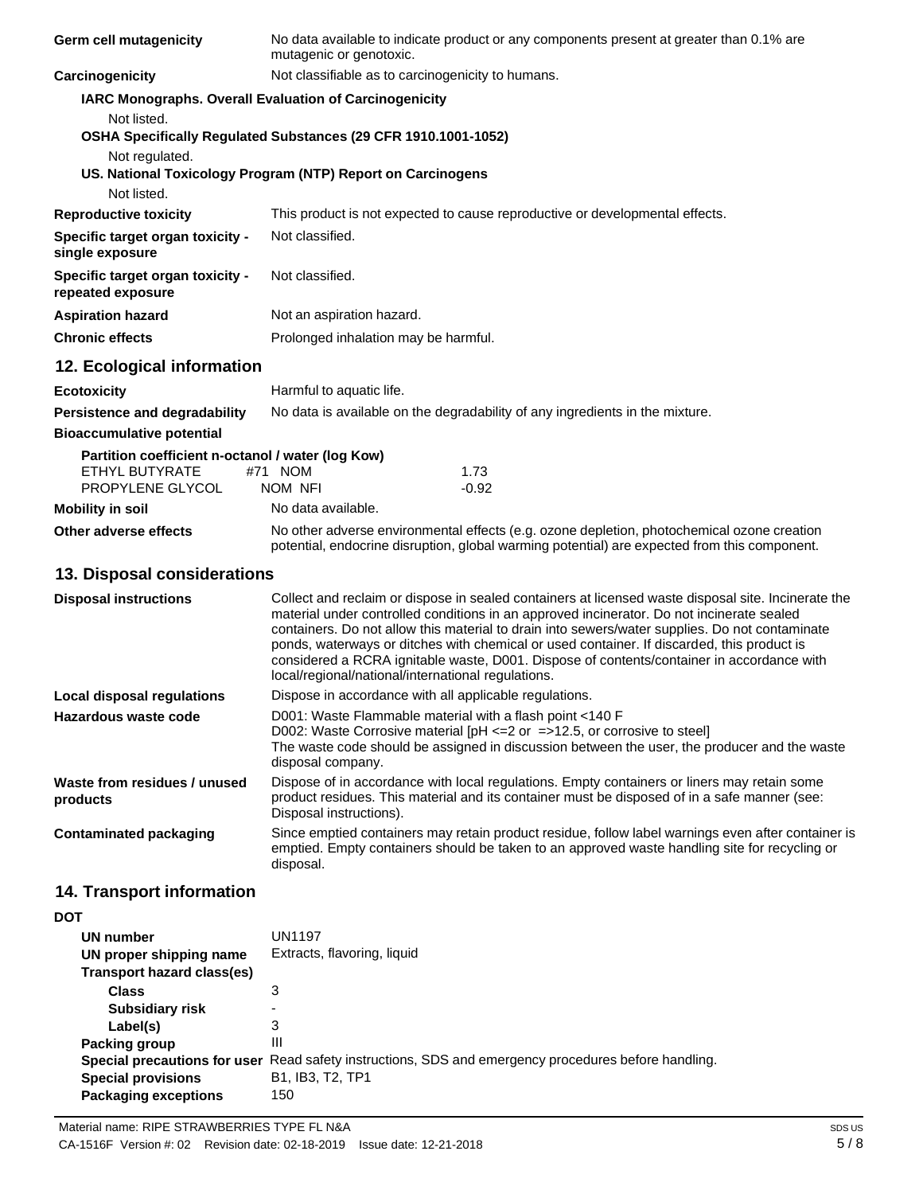| Germ cell mutagenicity                                                                  | No data available to indicate product or any components present at greater than 0.1% are<br>mutagenic or genotoxic.                                                                                                                                                                                                                                                                                                                                                                                                                                 |  |
|-----------------------------------------------------------------------------------------|-----------------------------------------------------------------------------------------------------------------------------------------------------------------------------------------------------------------------------------------------------------------------------------------------------------------------------------------------------------------------------------------------------------------------------------------------------------------------------------------------------------------------------------------------------|--|
| Carcinogenicity                                                                         | Not classifiable as to carcinogenicity to humans.                                                                                                                                                                                                                                                                                                                                                                                                                                                                                                   |  |
|                                                                                         | IARC Monographs. Overall Evaluation of Carcinogenicity                                                                                                                                                                                                                                                                                                                                                                                                                                                                                              |  |
| Not listed.<br>Not regulated.<br>Not listed.                                            | OSHA Specifically Regulated Substances (29 CFR 1910.1001-1052)<br>US. National Toxicology Program (NTP) Report on Carcinogens                                                                                                                                                                                                                                                                                                                                                                                                                       |  |
| <b>Reproductive toxicity</b>                                                            | This product is not expected to cause reproductive or developmental effects.                                                                                                                                                                                                                                                                                                                                                                                                                                                                        |  |
| Specific target organ toxicity -<br>single exposure                                     | Not classified.                                                                                                                                                                                                                                                                                                                                                                                                                                                                                                                                     |  |
| Specific target organ toxicity -<br>repeated exposure                                   | Not classified.                                                                                                                                                                                                                                                                                                                                                                                                                                                                                                                                     |  |
| <b>Aspiration hazard</b>                                                                | Not an aspiration hazard.                                                                                                                                                                                                                                                                                                                                                                                                                                                                                                                           |  |
| <b>Chronic effects</b>                                                                  | Prolonged inhalation may be harmful.                                                                                                                                                                                                                                                                                                                                                                                                                                                                                                                |  |
| 12. Ecological information                                                              |                                                                                                                                                                                                                                                                                                                                                                                                                                                                                                                                                     |  |
| <b>Ecotoxicity</b>                                                                      | Harmful to aquatic life.                                                                                                                                                                                                                                                                                                                                                                                                                                                                                                                            |  |
| Persistence and degradability                                                           | No data is available on the degradability of any ingredients in the mixture.                                                                                                                                                                                                                                                                                                                                                                                                                                                                        |  |
| <b>Bioaccumulative potential</b>                                                        |                                                                                                                                                                                                                                                                                                                                                                                                                                                                                                                                                     |  |
| Partition coefficient n-octanol / water (log Kow)<br>ETHYL BUTYRATE<br>PROPYLENE GLYCOL | #71 NOM<br>1.73<br>NOM NFI<br>$-0.92$                                                                                                                                                                                                                                                                                                                                                                                                                                                                                                               |  |
| <b>Mobility in soil</b>                                                                 | No data available.                                                                                                                                                                                                                                                                                                                                                                                                                                                                                                                                  |  |
| Other adverse effects                                                                   | No other adverse environmental effects (e.g. ozone depletion, photochemical ozone creation<br>potential, endocrine disruption, global warming potential) are expected from this component.                                                                                                                                                                                                                                                                                                                                                          |  |
| 13. Disposal considerations                                                             |                                                                                                                                                                                                                                                                                                                                                                                                                                                                                                                                                     |  |
| <b>Disposal instructions</b>                                                            | Collect and reclaim or dispose in sealed containers at licensed waste disposal site. Incinerate the<br>material under controlled conditions in an approved incinerator. Do not incinerate sealed<br>containers. Do not allow this material to drain into sewers/water supplies. Do not contaminate<br>ponds, waterways or ditches with chemical or used container. If discarded, this product is<br>considered a RCRA ignitable waste, D001. Dispose of contents/container in accordance with<br>local/regional/national/international regulations. |  |
| <b>Local disposal regulations</b>                                                       | Dispose in accordance with all applicable regulations.                                                                                                                                                                                                                                                                                                                                                                                                                                                                                              |  |
| Hazardous waste code                                                                    | D001: Waste Flammable material with a flash point <140 F<br>D002: Waste Corrosive material [pH $\leq$ 2 or $\leq$ >12.5, or corrosive to steel]<br>The waste code should be assigned in discussion between the user, the producer and the waste<br>disposal company.                                                                                                                                                                                                                                                                                |  |
| Waste from residues / unused<br>products                                                | Dispose of in accordance with local regulations. Empty containers or liners may retain some<br>product residues. This material and its container must be disposed of in a safe manner (see:<br>Disposal instructions).                                                                                                                                                                                                                                                                                                                              |  |
| <b>Contaminated packaging</b>                                                           | Since emptied containers may retain product residue, follow label warnings even after container is<br>emptied. Empty containers should be taken to an approved waste handling site for recycling or<br>disposal.                                                                                                                                                                                                                                                                                                                                    |  |
| <b>14. Transport information</b>                                                        |                                                                                                                                                                                                                                                                                                                                                                                                                                                                                                                                                     |  |
| <b>DOT</b>                                                                              |                                                                                                                                                                                                                                                                                                                                                                                                                                                                                                                                                     |  |
| UN number                                                                               | <b>UN1197</b>                                                                                                                                                                                                                                                                                                                                                                                                                                                                                                                                       |  |
| UN proper shipping name<br>Transport hazard class(es)                                   | Extracts, flavoring, liquid                                                                                                                                                                                                                                                                                                                                                                                                                                                                                                                         |  |
| <b>Class</b>                                                                            | 3                                                                                                                                                                                                                                                                                                                                                                                                                                                                                                                                                   |  |
| <b>Subsidiary risk</b>                                                                  |                                                                                                                                                                                                                                                                                                                                                                                                                                                                                                                                                     |  |

150

3 III

B1, IB3, T2, TP1

**Special precautions for user** Read safety instructions, SDS and emergency procedures before handling.

**Label(s) Packing group**

**Special provisions Packaging exceptions**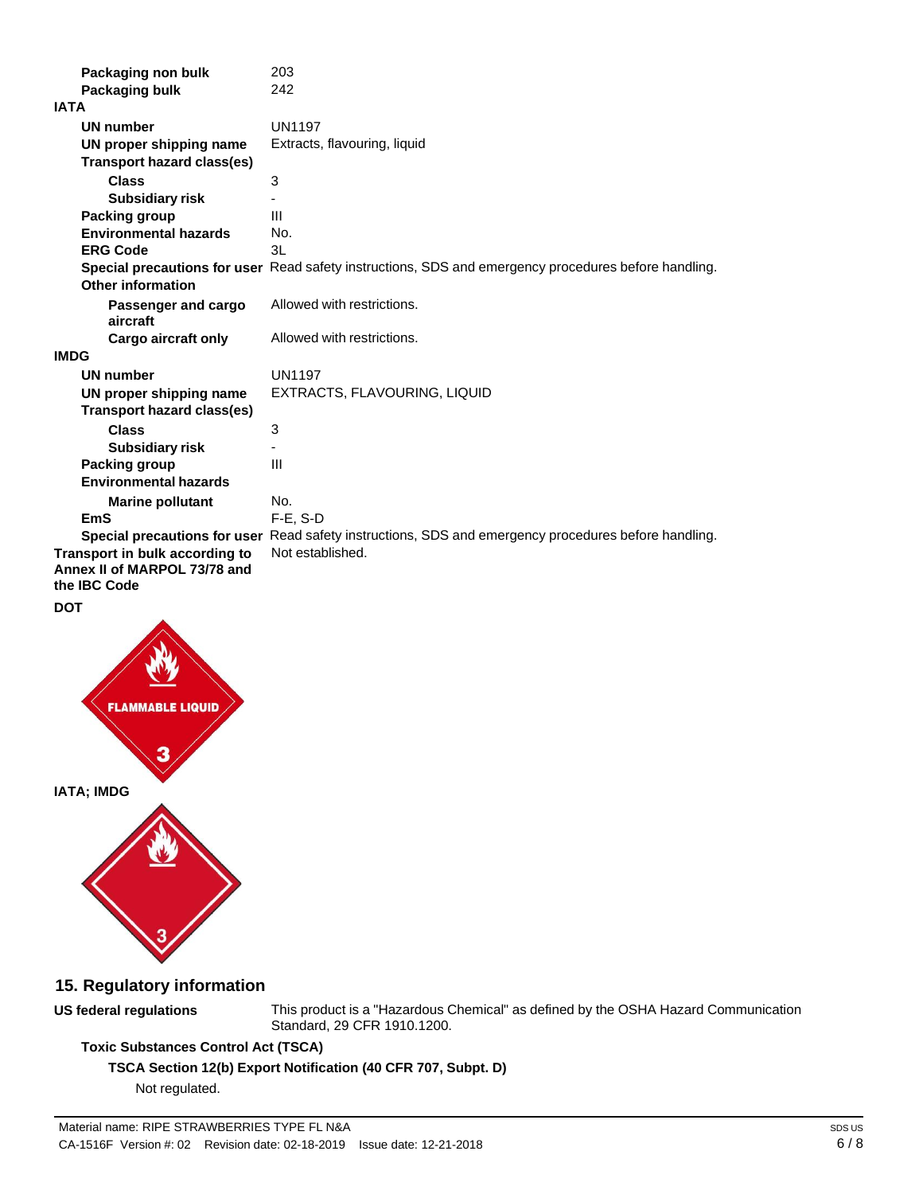| Packaging non bulk                | 203                                                                                                  |
|-----------------------------------|------------------------------------------------------------------------------------------------------|
| Packaging bulk                    | 242                                                                                                  |
| <b>IATA</b>                       |                                                                                                      |
| <b>UN number</b>                  | <b>UN1197</b>                                                                                        |
| UN proper shipping name           | Extracts, flavouring, liquid                                                                         |
| <b>Transport hazard class(es)</b> |                                                                                                      |
| <b>Class</b>                      | 3                                                                                                    |
| <b>Subsidiary risk</b>            |                                                                                                      |
| <b>Packing group</b>              | III                                                                                                  |
| <b>Environmental hazards</b>      | No.                                                                                                  |
| <b>ERG Code</b>                   | 3L                                                                                                   |
|                                   | Special precautions for user Read safety instructions, SDS and emergency procedures before handling. |
| <b>Other information</b>          |                                                                                                      |
| Passenger and cargo<br>aircraft   | Allowed with restrictions.                                                                           |
| <b>Cargo aircraft only</b>        | Allowed with restrictions.                                                                           |
| <b>IMDG</b>                       |                                                                                                      |
| <b>UN number</b>                  | <b>UN1197</b>                                                                                        |
| UN proper shipping name           | EXTRACTS, FLAVOURING, LIQUID                                                                         |
| <b>Transport hazard class(es)</b> |                                                                                                      |
| <b>Class</b>                      | 3                                                                                                    |
| <b>Subsidiary risk</b>            |                                                                                                      |
| Packing group                     | Ш                                                                                                    |
| <b>Environmental hazards</b>      |                                                                                                      |
| <b>Marine pollutant</b>           | No.                                                                                                  |
| <b>EmS</b>                        | $F-E. S-D$                                                                                           |
|                                   | Special precautions for user Read safety instructions, SDS and emergency procedures before handling. |
| Transport in bulk according to    | Not established.                                                                                     |
| Annex II of MARPOL 73/78 and      |                                                                                                      |
| the IBC Code                      |                                                                                                      |
| <b>DOT</b>                        |                                                                                                      |
|                                   |                                                                                                      |





## **15. Regulatory information**

**US federal regulations**

This product is a "Hazardous Chemical" as defined by the OSHA Hazard Communication Standard, 29 CFR 1910.1200.

## **Toxic Substances Control Act (TSCA)**

**TSCA Section 12(b) Export Notification (40 CFR 707, Subpt. D)**

Not regulated.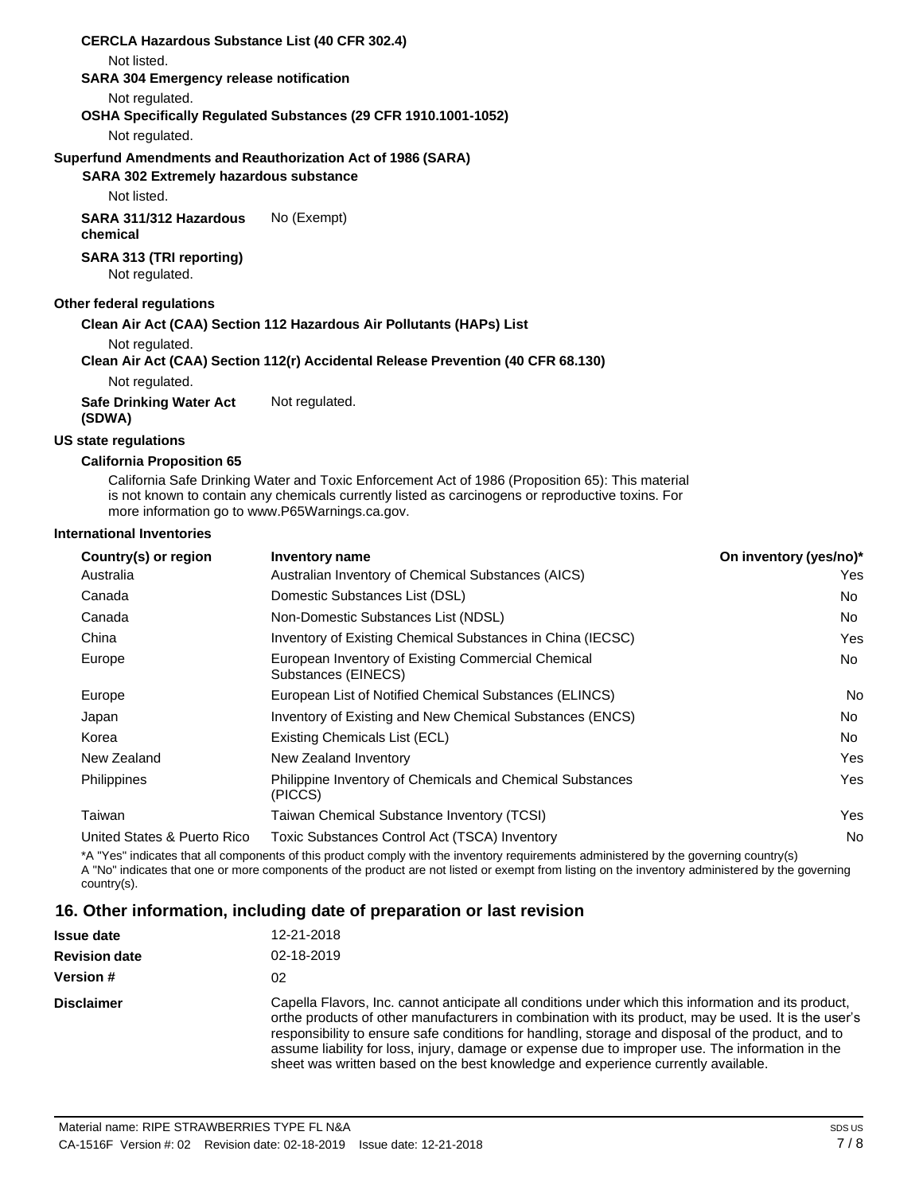| <b>CERCLA Hazardous Substance List (40 CFR 302.4)</b> |                                                                                  |
|-------------------------------------------------------|----------------------------------------------------------------------------------|
| Not listed.                                           |                                                                                  |
| <b>SARA 304 Emergency release notification</b>        |                                                                                  |
| Not regulated.                                        |                                                                                  |
|                                                       | OSHA Specifically Regulated Substances (29 CFR 1910.1001-1052)                   |
| Not regulated.                                        |                                                                                  |
|                                                       | Superfund Amendments and Reauthorization Act of 1986 (SARA)                      |
| <b>SARA 302 Extremely hazardous substance</b>         |                                                                                  |
| Not listed.                                           |                                                                                  |
| SARA 311/312 Hazardous<br>chemical                    | No (Exempt)                                                                      |
| SARA 313 (TRI reporting)<br>Not regulated.            |                                                                                  |
| Other federal regulations                             |                                                                                  |
|                                                       | Clean Air Act (CAA) Section 112 Hazardous Air Pollutants (HAPs) List             |
| Not regulated.                                        |                                                                                  |
|                                                       | Clean Air Act (CAA) Section 112(r) Accidental Release Prevention (40 CFR 68.130) |
| Not regulated.                                        |                                                                                  |
| <b>Safe Drinking Water Act</b>                        | Not regulated.                                                                   |

## **US state regulations**

**(SDWA)**

#### **California Proposition 65**

California Safe Drinking Water and Toxic Enforcement Act of 1986 (Proposition 65): This material is not known to contain any chemicals currently listed as carcinogens or reproductive toxins. For more information go to [www.P65Warnings.ca.gov.](http://www.p65warnings.ca.gov/)

#### **International Inventories**

| Country(s) or region        | Inventory name                                                            | On inventory (yes/no)* |
|-----------------------------|---------------------------------------------------------------------------|------------------------|
| Australia                   | Australian Inventory of Chemical Substances (AICS)                        | Yes                    |
| Canada                      | Domestic Substances List (DSL)                                            | No.                    |
| Canada                      | Non-Domestic Substances List (NDSL)                                       | No.                    |
| China                       | Inventory of Existing Chemical Substances in China (IECSC)                | Yes                    |
| Europe                      | European Inventory of Existing Commercial Chemical<br>Substances (EINECS) | No.                    |
| Europe                      | European List of Notified Chemical Substances (ELINCS)                    | No.                    |
| Japan                       | Inventory of Existing and New Chemical Substances (ENCS)                  | No.                    |
| Korea                       | Existing Chemicals List (ECL)                                             | No.                    |
| New Zealand                 | New Zealand Inventory                                                     | Yes                    |
| Philippines                 | Philippine Inventory of Chemicals and Chemical Substances<br>(PICCS)      | Yes                    |
| Taiwan                      | Taiwan Chemical Substance Inventory (TCSI)                                | Yes                    |
| United States & Puerto Rico | Toxic Substances Control Act (TSCA) Inventory                             | No                     |

\*A "Yes" indicates that all components of this product comply with the inventory requirements administered by the governing country(s) A "No" indicates that one or more components of the product are not listed or exempt from listing on the inventory administered by the governing country(s).

### **16. Other information, including date of preparation or last revision**

| <b>Issue date</b>    | 12-21-2018                                                                                                                                                                                                                                                                                                                                                                                                                                                                                                   |  |
|----------------------|--------------------------------------------------------------------------------------------------------------------------------------------------------------------------------------------------------------------------------------------------------------------------------------------------------------------------------------------------------------------------------------------------------------------------------------------------------------------------------------------------------------|--|
| <b>Revision date</b> | 02-18-2019                                                                                                                                                                                                                                                                                                                                                                                                                                                                                                   |  |
| <b>Version #</b>     | 02                                                                                                                                                                                                                                                                                                                                                                                                                                                                                                           |  |
| <b>Disclaimer</b>    | Capella Flavors, Inc. cannot anticipate all conditions under which this information and its product,<br>or the products of other manufacturers in combination with its product, may be used. It is the user's<br>responsibility to ensure safe conditions for handling, storage and disposal of the product, and to<br>assume liability for loss, injury, damage or expense due to improper use. The information in the<br>sheet was written based on the best knowledge and experience currently available. |  |